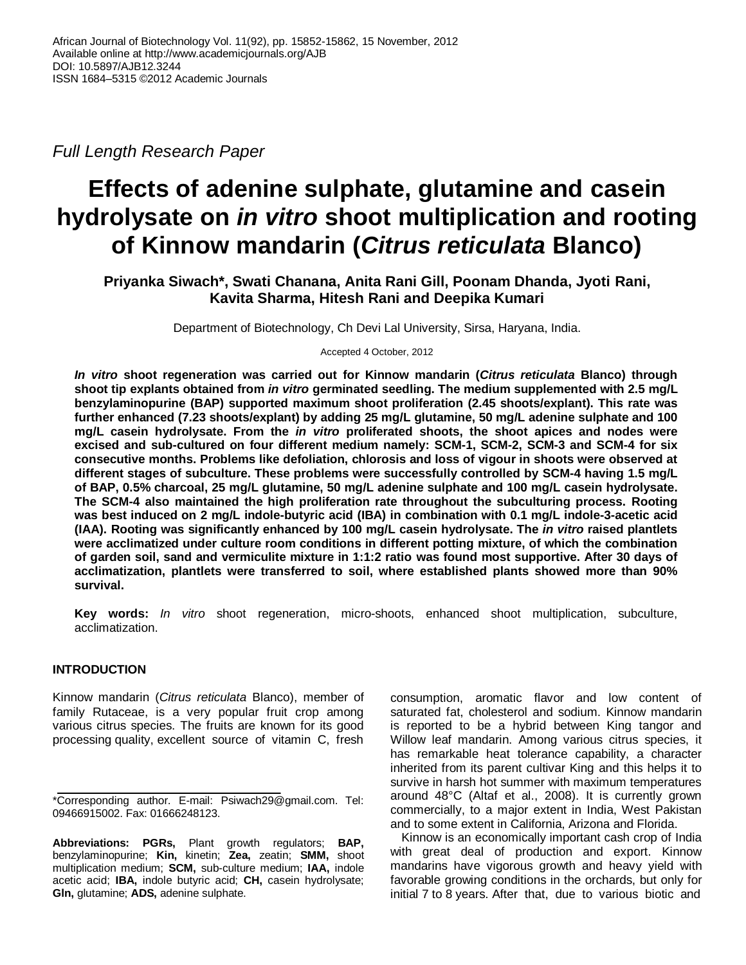*Full Length Research Paper*

# **Effects of adenine sulphate, glutamine and casein hydrolysate on** *in vitro* **shoot multiplication and rooting of Kinnow mandarin (***Citrus reticulata* **Blanco)**

**Priyanka Siwach\*, Swati Chanana, Anita Rani Gill, Poonam Dhanda, Jyoti Rani, Kavita Sharma, Hitesh Rani and Deepika Kumari**

Department of Biotechnology, Ch Devi Lal University, Sirsa, Haryana, India.

Accepted 4 October, 2012

*In vitro* **shoot regeneration was carried out for Kinnow mandarin (***Citrus reticulata* **Blanco) through shoot tip explants obtained from** *in vitro* **germinated seedling. The medium supplemented with 2.5 mg/L benzylaminopurine (BAP) supported maximum shoot proliferation (2.45 shoots/explant). This rate was further enhanced (7.23 shoots/explant) by adding 25 mg/L glutamine, 50 mg/L adenine sulphate and 100 mg/L casein hydrolysate. From the** *in vitro* **proliferated shoots, the shoot apices and nodes were excised and sub-cultured on four different medium namely: SCM-1, SCM-2, SCM-3 and SCM-4 for six consecutive months. Problems like defoliation, chlorosis and loss of vigour in shoots were observed at different stages of subculture. These problems were successfully controlled by SCM-4 having 1.5 mg/L of BAP, 0.5% charcoal, 25 mg/L glutamine, 50 mg/L adenine sulphate and 100 mg/L casein hydrolysate. The SCM-4 also maintained the high proliferation rate throughout the subculturing process. Rooting was best induced on 2 mg/L indole-butyric acid (IBA) in combination with 0.1 mg/L indole-3-acetic acid (IAA). Rooting was significantly enhanced by 100 mg/L casein hydrolysate. The** *in vitro* **raised plantlets were acclimatized under culture room conditions in different potting mixture, of which the combination of garden soil, sand and vermiculite mixture in 1:1:2 ratio was found most supportive. After 30 days of acclimatization, plantlets were transferred to soil, where established plants showed more than 90% survival.**

**Key words:** *In vitro* shoot regeneration, micro-shoots, enhanced shoot multiplication, subculture, acclimatization.

# **INTRODUCTION**

Kinnow mandarin (*Citrus reticulata* Blanco), member of family Rutaceae, is a very popular fruit crop among various citrus species. The fruits are known for its good processing quality, excellent source of vitamin C, fresh

consumption, aromatic flavor and low content of saturated fat, cholesterol and sodium. Kinnow mandarin is reported to be a hybrid between King tangor and Willow leaf mandarin. Among various citrus species, it has remarkable heat tolerance capability, a character inherited from its parent cultivar King and this helps it to survive in harsh hot summer with maximum temperatures around 48°C (Altaf et al., 2008). It is currently grown commercially, to a major extent in India, West Pakistan and to some extent in California, Arizona and Florida.

Kinnow is an economically important cash crop of India with great deal of production and export. Kinnow mandarins have vigorous growth and heavy yield with favorable growing conditions in the orchards, but only for initial 7 to 8 years. After that, due to various biotic and

<sup>\*</sup>Corresponding author. E-mail: Psiwach29@gmail.com. Tel: 09466915002. Fax: 01666248123.

**Abbreviations: PGRs,** Plant growth regulators; **BAP,** benzylaminopurine; **Kin,** kinetin; **Zea,** zeatin; **SMM,** shoot multiplication medium; **SCM,** sub-culture medium; **IAA,** indole acetic acid; **IBA,** indole butyric acid; **CH,** casein hydrolysate; **Gln,** glutamine; **ADS,** adenine sulphate.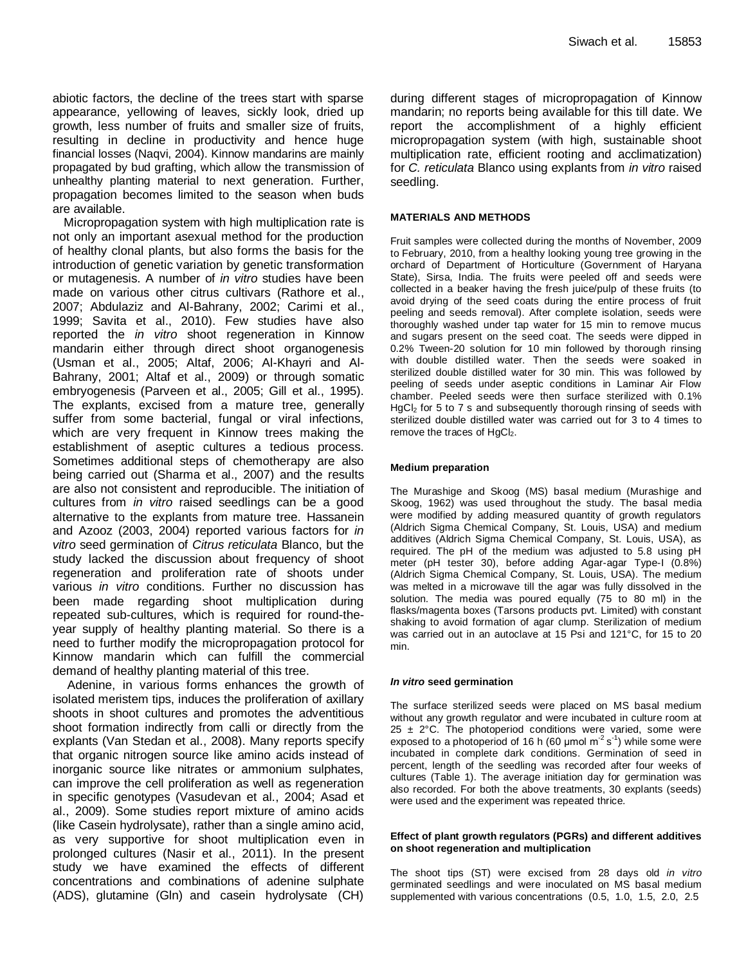abiotic factors, the decline of the trees start with sparse appearance, yellowing of leaves, sickly look, dried up growth, less number of fruits and smaller size of fruits, resulting in decline in productivity and hence huge financial losses (Naqvi, 2004). Kinnow mandarins are mainly propagated by bud grafting, which allow the transmission of unhealthy planting material to next generation. Further, propagation becomes limited to the season when buds are available.

Micropropagation system with high multiplication rate is not only an important asexual method for the production of healthy clonal plants, but also forms the basis for the introduction of genetic variation by genetic transformation or mutagenesis. A number of *in vitro* studies have been made on various other citrus cultivars (Rathore et al., 2007; Abdulaziz and Al-Bahrany, 2002; Carimi et al., 1999; Savita et al., 2010). Few studies have also reported the *in vitro* shoot regeneration in Kinnow mandarin either through direct shoot organogenesis (Usman et al., 2005; Altaf, 2006; Al-Khayri and Al-Bahrany, 2001; Altaf et al., 2009) or through somatic embryogenesis (Parveen et al., 2005; Gill et al., 1995). The explants, excised from a mature tree, generally suffer from some bacterial, fungal or viral infections, which are very frequent in Kinnow trees making the establishment of aseptic cultures a tedious process. Sometimes additional steps of chemotherapy are also being carried out (Sharma et al., 2007) and the results are also not consistent and reproducible. The initiation of cultures from *in vitro* raised seedlings can be a good alternative to the explants from mature tree. Hassanein and Azooz (2003, 2004) reported various factors for *in vitro* seed germination of *Citrus reticulata* Blanco, but the study lacked the discussion about frequency of shoot regeneration and proliferation rate of shoots under various *in vitro* conditions. Further no discussion has been made regarding shoot multiplication during repeated sub-cultures, which is required for round-theyear supply of healthy planting material. So there is a need to further modify the micropropagation protocol for Kinnow mandarin which can fulfill the commercial demand of healthy planting material of this tree.

Adenine, in various forms enhances the growth of isolated meristem tips, induces the proliferation of axillary shoots in shoot cultures and promotes the adventitious shoot formation indirectly from calli or directly from the explants (Van Stedan et al., 2008). Many reports specify that organic nitrogen source like amino acids instead of inorganic source like nitrates or ammonium sulphates, can improve the cell proliferation as well as regeneration in specific genotypes (Vasudevan et al., 2004; Asad et al., 2009). Some studies report mixture of amino acids (like Casein hydrolysate), rather than a single amino acid, as very supportive for shoot multiplication even in prolonged cultures (Nasir et al., 2011). In the present study we have examined the effects of different concentrations and combinations of adenine sulphate (ADS), glutamine (Gln) and casein hydrolysate (CH) during different stages of micropropagation of Kinnow mandarin; no reports being available for this till date. We report the accomplishment of a highly efficient micropropagation system (with high, sustainable shoot multiplication rate, efficient rooting and acclimatization) for *C. reticulata* Blanco using explants from *in vitro* raised seedling.

## **MATERIALS AND METHODS**

Fruit samples were collected during the months of November, 2009 to February, 2010, from a healthy looking young tree growing in the orchard of Department of Horticulture (Government of Haryana State), Sirsa, India. The fruits were peeled off and seeds were collected in a beaker having the fresh juice/pulp of these fruits (to avoid drying of the seed coats during the entire process of fruit peeling and seeds removal). After complete isolation, seeds were thoroughly washed under tap water for 15 min to remove mucus and sugars present on the seed coat. The seeds were dipped in 0.2% Tween-20 solution for 10 min followed by thorough rinsing with double distilled water. Then the seeds were soaked in sterilized double distilled water for 30 min. This was followed by peeling of seeds under aseptic conditions in Laminar Air Flow chamber. Peeled seeds were then surface sterilized with 0.1% HgCl<sub>2</sub> for 5 to 7 s and subsequently thorough rinsing of seeds with sterilized double distilled water was carried out for 3 to 4 times to remove the traces of  $HgCl<sub>2</sub>$ .

## **Medium preparation**

The Murashige and Skoog (MS) basal medium (Murashige and Skoog, 1962) was used throughout the study. The basal media were modified by adding measured quantity of growth regulators (Aldrich Sigma Chemical Company, St. Louis, USA) and medium additives (Aldrich Sigma Chemical Company, St. Louis, USA), as required. The pH of the medium was adjusted to 5.8 using pH meter (pH tester 30), before adding Agar-agar Type-I (0.8%) (Aldrich Sigma Chemical Company, St. Louis, USA). The medium was melted in a microwave till the agar was fully dissolved in the solution. The media was poured equally (75 to 80 ml) in the flasks/magenta boxes (Tarsons products pvt. Limited) with constant shaking to avoid formation of agar clump. Sterilization of medium was carried out in an autoclave at 15 Psi and 121°C, for 15 to 20 min.

### *In vitro* **seed germination**

The surface sterilized seeds were placed on MS basal medium without any growth regulator and were incubated in culture room at  $25 \pm 2$ °C. The photoperiod conditions were varied, some were exposed to a photoperiod of 16 h (60 µmol  $m^2 s^1$ ) while some were incubated in complete dark conditions. Germination of seed in percent, length of the seedling was recorded after four weeks of cultures (Table 1). The average initiation day for germination was also recorded. For both the above treatments, 30 explants (seeds) were used and the experiment was repeated thrice.

#### **Effect of plant growth regulators (PGRs) and different additives on shoot regeneration and multiplication**

The shoot tips (ST) were excised from 28 days old *in vitro*  germinated seedlings and were inoculated on MS basal medium supplemented with various concentrations (0.5, 1.0, 1.5, 2.0, 2.5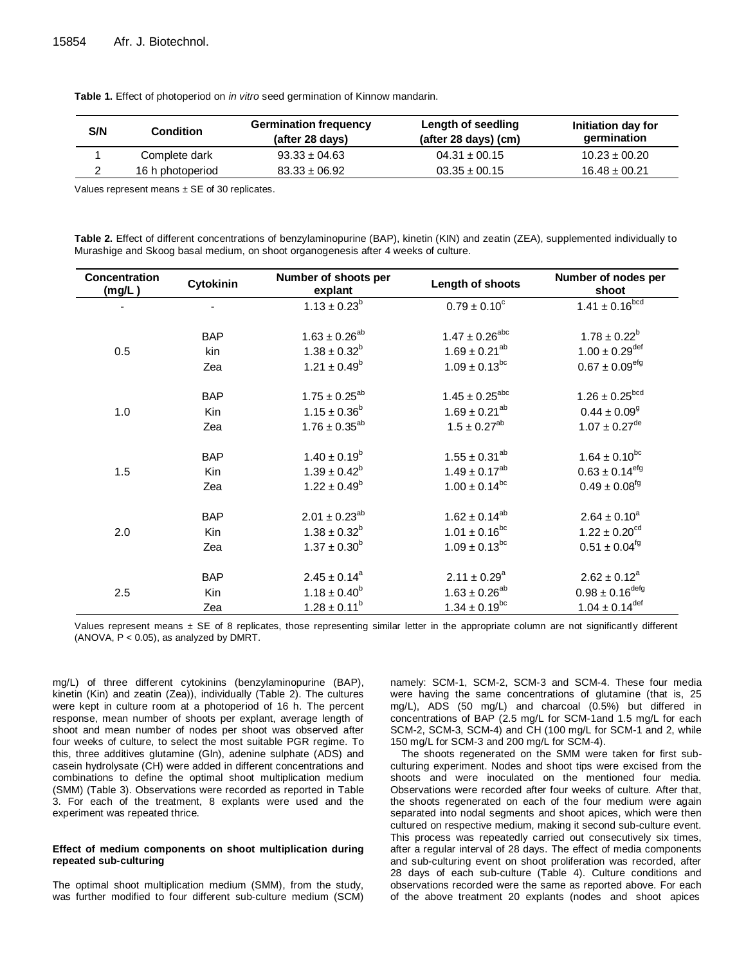**Table 1.** Effect of photoperiod on *in vitro* seed germination of Kinnow mandarin.

| S/N | Condition        | <b>Germination frequency</b><br>(after 28 days) | Length of seedling<br>$(after 28 days)$ (cm) | Initiation day for<br>germination |
|-----|------------------|-------------------------------------------------|----------------------------------------------|-----------------------------------|
|     | Complete dark    | $93.33 \pm 04.63$                               | $04.31 \pm 00.15$                            | $10.23 \pm 00.20$                 |
|     | 16 h photoperiod | $83.33 \pm 06.92$                               | $03.35 \pm 00.15$                            | $16.48 \pm 00.21$                 |

Values represent means  $\pm$  SE of 30 replicates.

**Table 2.** Effect of different concentrations of benzylaminopurine (BAP), kinetin (KIN) and zeatin (ZEA), supplemented individually to Murashige and Skoog basal medium, on shoot organogenesis after 4 weeks of culture.

| Concentration<br>(mg/L) | Cytokinin                | Number of shoots per<br>explant | Length of shoots          | Number of nodes per<br>shoot                             |
|-------------------------|--------------------------|---------------------------------|---------------------------|----------------------------------------------------------|
|                         | $\overline{\phantom{a}}$ | $1.13 \pm 0.23^b$               | $0.79 \pm 0.10^{\circ}$   | $1.41 \pm 0.16^{\overline{b} \overline{c} \overline{d}}$ |
|                         | <b>BAP</b>               | $1.63 \pm 0.26^{ab}$            | $1.47 \pm 0.26^{abc}$     | $1.78 \pm 0.22^b$                                        |
| 0.5                     | kin                      | $1.38 \pm 0.32^b$               | $1.69 \pm 0.21^{ab}$      | $1.00 \pm 0.29$ <sup>def</sup>                           |
|                         | Zea                      | $1.21 \pm 0.49^b$               | $1.09 \pm 0.13^{bc}$      | $0.67 \pm 0.09$ <sup>efg</sup>                           |
|                         | <b>BAP</b>               | $1.75 \pm 0.25^{ab}$            | $1.45 \pm 0.25^{\rm abc}$ | $1.26 \pm 0.25^{bcd}$                                    |
| 1.0                     | Kin                      | $1.15 \pm 0.36^b$               | $1.69 \pm 0.21^{ab}$      | $0.44 \pm 0.09$ <sup>g</sup>                             |
|                         | Zea                      | $1.76 \pm 0.35^{ab}$            | $1.5 \pm 0.27^{ab}$       | $1.07 \pm 0.27$ <sup>de</sup>                            |
|                         | <b>BAP</b>               | $1.40 \pm 0.19^b$               | $1.55 \pm 0.31^{ab}$      | $1.64 \pm 0.10^{bc}$                                     |
| 1.5                     | Kin                      | $1.39 \pm 0.42^b$               | $1.49 \pm 0.17^{ab}$      | $0.63 \pm 0.14$ <sup>efg</sup>                           |
|                         | Zea                      | $1.22 \pm 0.49^b$               | $1.00 \pm 0.14^{bc}$      | $0.49 \pm 0.08$ <sup>fg</sup>                            |
|                         | <b>BAP</b>               | $2.01 \pm 0.23^{ab}$            | $1.62 \pm 0.14^{ab}$      | $2.64 \pm 0.10^a$                                        |
| 2.0                     | Kin                      | $1.38 \pm 0.32^b$               | $1.01 \pm 0.16^{bc}$      | $1.22 \pm 0.20^{cd}$                                     |
|                         | Zea                      | $1.37 \pm 0.30^b$               | $1.09 \pm 0.13^{bc}$      | $0.51 \pm 0.04$ <sup>fg</sup>                            |
|                         | <b>BAP</b>               | $2.45 \pm 0.14$ <sup>a</sup>    | $2.11 \pm 0.29^a$         | $2.62 \pm 0.12^a$                                        |
| 2.5                     | Kin                      | $1.18 \pm 0.40^b$               | $1.63 \pm 0.26^{ab}$      | $0.98 \pm 0.16^{\text{defg}}$                            |
|                         | Zea                      | $1.28 \pm 0.11^b$               | $1.34 \pm 0.19^{bc}$      | $1.04 \pm 0.14^{\text{def}}$                             |

Values represent means  $\pm$  SE of 8 replicates, those representing similar letter in the appropriate column are not significantly different (ANOVA,  $P < 0.05$ ), as analyzed by DMRT.

mg/L) of three different cytokinins (benzylaminopurine (BAP), kinetin (Kin) and zeatin (Zea)), individually (Table 2). The cultures were kept in culture room at a photoperiod of 16 h. The percent response, mean number of shoots per explant, average length of shoot and mean number of nodes per shoot was observed after four weeks of culture, to select the most suitable PGR regime. To this, three additives glutamine (Gln), adenine sulphate (ADS) and casein hydrolysate (CH) were added in different concentrations and combinations to define the optimal shoot multiplication medium (SMM) (Table 3). Observations were recorded as reported in Table 3. For each of the treatment, 8 explants were used and the experiment was repeated thrice.

### **Effect of medium components on shoot multiplication during repeated sub-culturing**

The optimal shoot multiplication medium (SMM), from the study, was further modified to four different sub-culture medium (SCM) namely: SCM-1, SCM-2, SCM-3 and SCM-4. These four media were having the same concentrations of glutamine (that is, 25 mg/L), ADS (50 mg/L) and charcoal (0.5%) but differed in concentrations of BAP (2.5 mg/L for SCM-1and 1.5 mg/L for each SCM-2, SCM-3, SCM-4) and CH (100 mg/L for SCM-1 and 2, while 150 mg/L for SCM-3 and 200 mg/L for SCM-4).

The shoots regenerated on the SMM were taken for first subculturing experiment. Nodes and shoot tips were excised from the shoots and were inoculated on the mentioned four media. Observations were recorded after four weeks of culture. After that, the shoots regenerated on each of the four medium were again separated into nodal segments and shoot apices, which were then cultured on respective medium, making it second sub-culture event. This process was repeatedly carried out consecutively six times, after a regular interval of 28 days. The effect of media components and sub-culturing event on shoot proliferation was recorded, after 28 days of each sub-culture (Table 4). Culture conditions and observations recorded were the same as reported above. For each of the above treatment 20 explants (nodes and shoot apices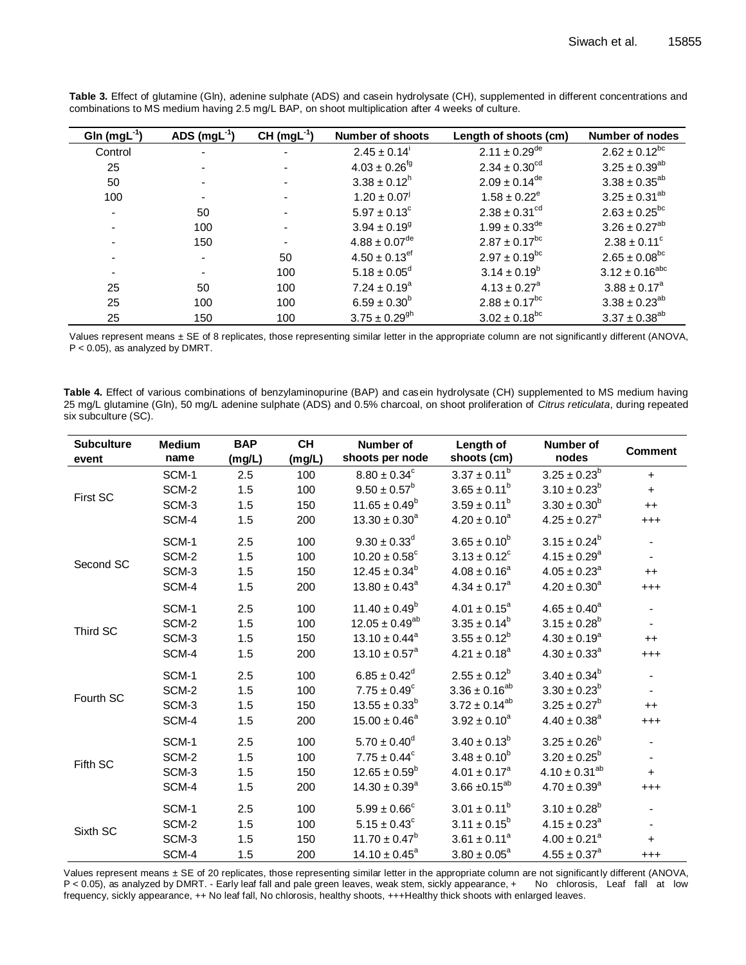| Gln $(mgL-1)$ | ADS $(mgl^{-1})$ | $CH (mgL-1)$   | <b>Number of shoots</b>       | Length of shoots (cm)         | <b>Number of nodes</b>       |
|---------------|------------------|----------------|-------------------------------|-------------------------------|------------------------------|
| Control       | -                | $\blacksquare$ | $2.45 \pm 0.14$               | $2.11 \pm 0.29$ <sup>de</sup> | $2.62 \pm 0.12^{bc}$         |
| 25            |                  |                | $4.03 \pm 0.26$ <sup>fg</sup> | $2.34 \pm 0.30^{\text{cd}}$   | $3.25 \pm 0.39^{ab}$         |
| 50            |                  | $\blacksquare$ | $3.38 \pm 0.12^h$             | $2.09 \pm 0.14^{\text{de}}$   | $3.38 \pm 0.35^{ab}$         |
| 100           |                  |                | $1.20 \pm 0.07$ <sup>1</sup>  | $1.58 \pm 0.22^e$             | $3.25 \pm 0.31^{ab}$         |
|               | 50               | $\blacksquare$ | $5.97 \pm 0.13^{\circ}$       | $2.38 \pm 0.31^{\text{cd}}$   | $2.63 \pm 0.25^{bc}$         |
|               | 100              | $\blacksquare$ | $3.94 \pm 0.19$ <sup>g</sup>  | $1.99 \pm 0.33^{\text{de}}$   | $3.26 \pm 0.27^{ab}$         |
|               | 150              | $\blacksquare$ | $4.88 \pm 0.07$ <sup>de</sup> | $2.87 \pm 0.17^{bc}$          | $2.38 \pm 0.11$ <sup>c</sup> |
|               | $\blacksquare$   | 50             | $4.50 \pm 0.13$ <sup>ef</sup> | $2.97 \pm 0.19^{bc}$          | $2.65 \pm 0.08^{bc}$         |
|               | $\blacksquare$   | 100            | $5.18 \pm 0.05^{\circ}$       | $3.14 \pm 0.19^b$             | $3.12 \pm 0.16^{abc}$        |
| 25            | 50               | 100            | $7.24 \pm 0.19^a$             | $4.13 \pm 0.27$ <sup>a</sup>  | $3.88 \pm 0.17^a$            |
| 25            | 100              | 100            | $6.59 \pm 0.30^b$             | $2.88 \pm 0.17^{bc}$          | $3.38 \pm 0.23^{ab}$         |
| 25            | 150              | 100            | $3.75 \pm 0.29$ <sup>gh</sup> | $3.02 \pm 0.18^{bc}$          | $3.37 \pm 0.38^{ab}$         |

**Table 3.** Effect of glutamine (Gln), adenine sulphate (ADS) and casein hydrolysate (CH), supplemented in different concentrations and combinations to MS medium having 2.5 mg/L BAP, on shoot multiplication after 4 weeks of culture.

Values represent means ± SE of 8 replicates, those representing similar letter in the appropriate column are not significantly different (ANOVA, P < 0.05), as analyzed by DMRT.

**Table 4.** Effect of various combinations of benzylaminopurine (BAP) and casein hydrolysate (CH) supplemented to MS medium having 25 mg/L glutamine (Gln), 50 mg/L adenine sulphate (ADS) and 0.5% charcoal, on shoot proliferation of *Citrus reticulata*, during repeated six subculture (SC).

| <b>Subculture</b> | <b>Medium</b> | <b>BAP</b> | <b>CH</b> | Number of                     | Length of            | Number of                    | <b>Comment</b> |
|-------------------|---------------|------------|-----------|-------------------------------|----------------------|------------------------------|----------------|
| event             | name          | (mg/L)     | (mg/L)    | shoots per node               | shoots (cm)          | nodes                        |                |
|                   | SCM-1         | 2.5        | 100       | $8.80 \pm 0.34^c$             | $3.37 \pm 0.11^b$    | $3.25 \pm 0.23^b$            | $+$            |
| First SC          | SCM-2         | 1.5        | 100       | $9.50 \pm 0.57^b$             | $3.65 \pm 0.11^b$    | $3.10 \pm 0.23^b$            | $+$            |
|                   | SCM-3         | 1.5        | 150       | $11.65 \pm 0.49^b$            | $3.59 \pm 0.11^b$    | $3.30 \pm 0.30^b$            | $++$           |
|                   | SCM-4         | 1.5        | 200       | $13.30 \pm 0.30^a$            | $4.20 \pm 0.10^a$    | $4.25 \pm 0.27$ <sup>a</sup> | $^{+++}$       |
|                   | SCM-1         | 2.5        | 100       | $9.30 \pm 0.33^d$             | $3.65 \pm 0.10^b$    | $3.15 \pm 0.24^b$            |                |
|                   | SCM-2         | 1.5        | 100       | $10.20 \pm 0.58$ <sup>c</sup> | $3.13 \pm 0.12^c$    | $4.15 \pm 0.29$ <sup>a</sup> |                |
| Second SC         | SCM-3         | 1.5        | 150       | $12.45 \pm 0.34^b$            | $4.08 \pm 0.16^a$    | $4.05 \pm 0.23$ <sup>a</sup> | $++$           |
|                   | SCM-4         | 1.5        | 200       | $13.80 \pm 0.43^a$            | $4.34 \pm 0.17^a$    | $4.20 \pm 0.30^a$            | $^{+++}$       |
|                   | SCM-1         | 2.5        | 100       | $11.40 \pm 0.49^b$            | $4.01 \pm 0.15^a$    | $4.65 \pm 0.40^a$            |                |
|                   | SCM-2         | 1.5        | 100       | $12.05 \pm 0.49^{ab}$         | $3.35 \pm 0.14^b$    | $3.15 \pm 0.28^b$            |                |
| Third SC          | SCM-3         | 1.5        | 150       | $13.10 \pm 0.44$ <sup>a</sup> | $3.55 \pm 0.12^b$    | $4.30 \pm 0.19^a$            | $++$           |
|                   | SCM-4         | 1.5        | 200       | $13.10 \pm 0.57$ <sup>a</sup> | $4.21 \pm 0.18^a$    | $4.30 \pm 0.33$ <sup>a</sup> | $^{+++}$       |
|                   | SCM-1         | 2.5        | 100       | $6.85 \pm 0.42^d$             | $2.55 \pm 0.12^b$    | $3.40\pm0.34^{\text{b}}$     |                |
|                   | SCM-2         | 1.5        | 100       | $7.75 \pm 0.49^{\circ}$       | $3.36 \pm 0.16^{ab}$ | $3.30 \pm 0.23^b$            |                |
| Fourth SC         | SCM-3         | 1.5        | 150       | $13.55 \pm 0.33^b$            | $3.72 \pm 0.14^{ab}$ | $3.25 \pm 0.27^b$            | $++$           |
|                   | SCM-4         | 1.5        | 200       | $15.00 \pm 0.46^a$            | $3.92 \pm 0.10^a$    | $4.40 \pm 0.38$ <sup>a</sup> | $^{+++}$       |
|                   | SCM-1         | 2.5        | 100       | $5.70 \pm 0.40^d$             | $3.40 \pm 0.13^b$    | $3.25 \pm 0.26^b$            |                |
|                   | SCM-2         | 1.5        | 100       | $7.75 \pm 0.44^c$             | $3.48 \pm 0.10^b$    | $3.20 \pm 0.25^b$            |                |
| Fifth SC          | SCM-3         | 1.5        | 150       | $12.65 \pm 0.59^b$            | $4.01 \pm 0.17^a$    | $4.10 \pm 0.31^{ab}$         | $+$            |
|                   | SCM-4         | 1.5        | 200       | $14.30 \pm 0.39^a$            | $3.66 \pm 0.15^{ab}$ | $4.70 \pm 0.39^a$            | $^{+++}$       |
|                   | SCM-1         | 2.5        | 100       | $5.99 \pm 0.66^{\circ}$       | $3.01 \pm 0.11^b$    | $3.10 \pm 0.28^b$            |                |
|                   | SCM-2         | 1.5        | 100       | $5.15 \pm 0.43^c$             | $3.11 \pm 0.15^b$    | $4.15 \pm 0.23$ <sup>a</sup> |                |
| Sixth SC          | SCM-3         | 1.5        | 150       | $11.70 \pm 0.47^b$            | $3.61 \pm 0.11^a$    | $4.00 \pm 0.21$ <sup>a</sup> | $+$            |
|                   | SCM-4         | 1.5        | 200       | $14.10 \pm 0.45^a$            | $3.80 \pm 0.05^a$    | $4.55 \pm 0.37^a$            | $^{+++}$       |

Values represent means ± SE of 20 replicates, those representing similar letter in the appropriate column are not significantly different (ANOVA, P < 0.05), as analyzed by DMRT. - Early leaf fall and pale green leaves, wea P < 0.05), as analyzed by DMRT. - Early leaf fall and pale green leaves, weak stem, sickly appearance, + frequency, sickly appearance, ++ No leaf fall, No chlorosis, healthy shoots, +++Healthy thick shoots with enlarged leaves.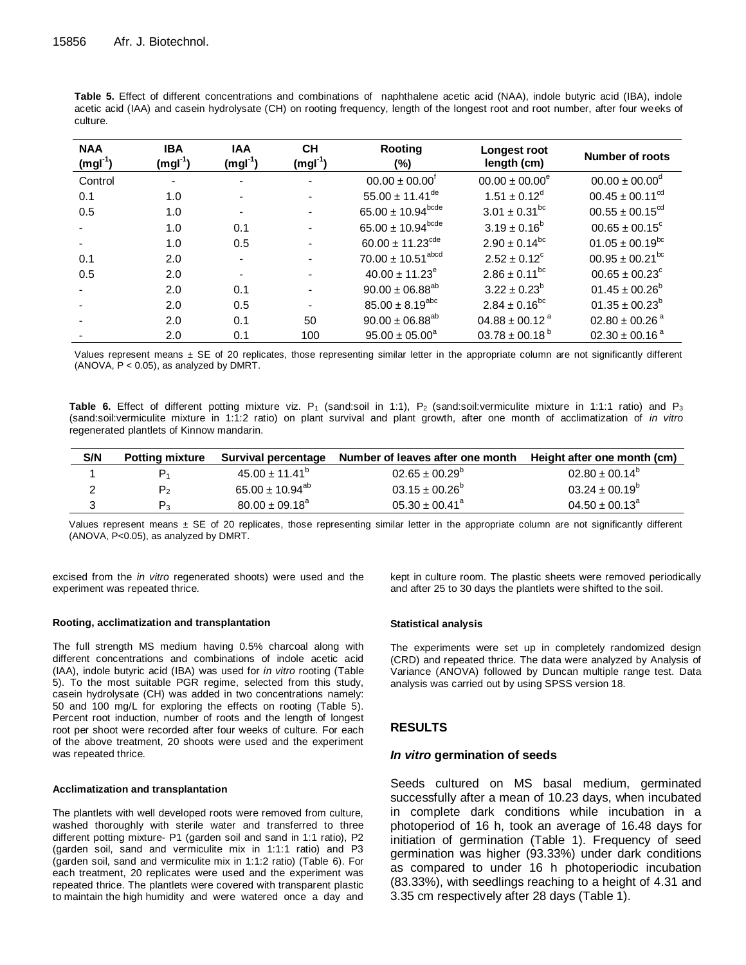**Table 5.** Effect of different concentrations and combinations of naphthalene acetic acid (NAA), indole butyric acid (IBA), indole acetic acid (IAA) and casein hydrolysate (CH) on rooting frequency, length of the longest root and root number, after four weeks of culture.

| <b>NAA</b><br>$(mgl-1)$ | <b>IBA</b><br>$(mgl-1)$ | <b>IAA</b><br>$(mgl-1)$ | <b>CH</b><br>$(mgl-1)$   | Rooting<br>(%)                    | Longest root<br>length (cm)  | Number of roots                 |
|-------------------------|-------------------------|-------------------------|--------------------------|-----------------------------------|------------------------------|---------------------------------|
| Control                 |                         |                         |                          | $00.00 \pm 00.00$                 | $00.00 \pm 00.00^e$          | $00.00 \pm 00.00^{\circ}$       |
| 0.1                     | 1.0                     |                         |                          | $55.00 \pm 11.41^{\text{de}}$     | $1.51 \pm 0.12^d$            | $00.45 \pm 00.11^{\text{cd}}$   |
| 0.5                     | 1.0                     |                         |                          | 65.00 $\pm$ 10.94 <sup>bcde</sup> | $3.01 \pm 0.31^{bc}$         | $00.55 \pm 00.15^{\text{cd}}$   |
|                         | 1.0                     | 0.1                     |                          | $65.00 \pm 10.94^{\text{bcde}}$   | $3.19 \pm 0.16^b$            | $00.65 \pm 00.15^{\circ}$       |
|                         | 1.0                     | 0.5                     |                          | $60.00 \pm 11.23^{\text{cde}}$    | $2.90 \pm 0.14^{bc}$         | $01.05 \pm 00.19^{bc}$          |
| 0.1                     | 2.0                     |                         |                          | $70.00 \pm 10.51^{\text{abcd}}$   | $2.52 \pm 0.12^{\circ}$      | $00.95 \pm 00.21$ <sup>bc</sup> |
| 0.5                     | 2.0                     |                         |                          | $40.00 \pm 11.23^e$               | $2.86 \pm 0.11^{bc}$         | $00.65 \pm 00.23$ <sup>c</sup>  |
|                         | 2.0                     | 0.1                     |                          | $90.00 \pm 06.88^{ab}$            | $3.22 \pm 0.23^b$            | $01.45 \pm 00.26^b$             |
|                         | 2.0                     | 0.5                     | $\overline{\phantom{0}}$ | $85.00 \pm 8.19^{abc}$            | $2.84 \pm 0.16^{bc}$         | $01.35 \pm 00.23^b$             |
|                         | 2.0                     | 0.1                     | 50                       | $90.00 \pm 06.88^{ab}$            | $04.88 \pm 00.12^{\text{a}}$ | $02.80 \pm 00.26$ <sup>a</sup>  |
|                         | 2.0                     | 0.1                     | 100                      | $95.00 \pm 05.00^a$               | $03.78 \pm 00.18^{\circ}$    | $02.30 \pm 00.16^{\text{ a}}$   |

Values represent means  $\pm$  SE of 20 replicates, those representing similar letter in the appropriate column are not significantly different (ANOVA, P < 0.05), as analyzed by DMRT.

Table 6. Effect of different potting mixture viz. P<sub>1</sub> (sand:soil in 1:1), P<sub>2</sub> (sand:soil:vermiculite mixture in 1:1:1 ratio) and P<sub>3</sub> (sand:soil:vermiculite mixture in 1:1:2 ratio) on plant survival and plant growth, after one month of acclimatization of *in vitro* regenerated plantlets of Kinnow mandarin.

| S/N | <b>Potting mixture</b> | Survival percentage             | Number of leaves after one month | Height after one month (cm) |
|-----|------------------------|---------------------------------|----------------------------------|-----------------------------|
|     |                        | $45.00 \pm 11.41^{\circ}$       | $02.65 \pm 00.29^{\circ}$        | $02.80 \pm 00.14^{\circ}$   |
|     | $P_{2}$                | 65.00 $\pm$ 10.94 <sup>ab</sup> | $03.15 \pm 00.26^{\circ}$        | $03.24 \pm 00.19^{\circ}$   |
|     | $P_3$                  | $80.00 \pm 09.18^{\circ}$       | $05.30 \pm 00.41$ <sup>a</sup>   | $04.50 \pm 00.13^{\circ}$   |

Values represent means  $\pm$  SE of 20 replicates, those representing similar letter in the appropriate column are not significantly different (ANOVA, P<0.05), as analyzed by DMRT.

excised from the *in vitro* regenerated shoots) were used and the experiment was repeated thrice.

#### **Rooting, acclimatization and transplantation**

The full strength MS medium having 0.5% charcoal along with different concentrations and combinations of indole acetic acid (IAA), indole butyric acid (IBA) was used for *in vitro* rooting (Table 5). To the most suitable PGR regime, selected from this study, casein hydrolysate (CH) was added in two concentrations namely: 50 and 100 mg/L for exploring the effects on rooting (Table 5). Percent root induction, number of roots and the length of longest root per shoot were recorded after four weeks of culture. For each of the above treatment, 20 shoots were used and the experiment was repeated thrice.

#### **Acclimatization and transplantation**

The plantlets with well developed roots were removed from culture, washed thoroughly with sterile water and transferred to three different potting mixture- P1 (garden soil and sand in 1:1 ratio), P2 (garden soil, sand and vermiculite mix in 1:1:1 ratio) and P3 (garden soil, sand and vermiculite mix in 1:1:2 ratio) (Table 6). For each treatment, 20 replicates were used and the experiment was repeated thrice. The plantlets were covered with transparent plastic to maintain the high humidity and were watered once a day and kept in culture room. The plastic sheets were removed periodically and after 25 to 30 days the plantlets were shifted to the soil.

#### **Statistical analysis**

The experiments were set up in completely randomized design (CRD) and repeated thrice. The data were analyzed by Analysis of Variance (ANOVA) followed by Duncan multiple range test. Data analysis was carried out by using SPSS version 18.

## **RESULTS**

### *In vitro* **germination of seeds**

Seeds cultured on MS basal medium, germinated successfully after a mean of 10.23 days, when incubated in complete dark conditions while incubation in a photoperiod of 16 h, took an average of 16.48 days for initiation of germination (Table 1). Frequency of seed germination was higher (93.33%) under dark conditions as compared to under 16 h photoperiodic incubation (83.33%), with seedlings reaching to a height of 4.31 and 3.35 cm respectively after 28 days (Table 1).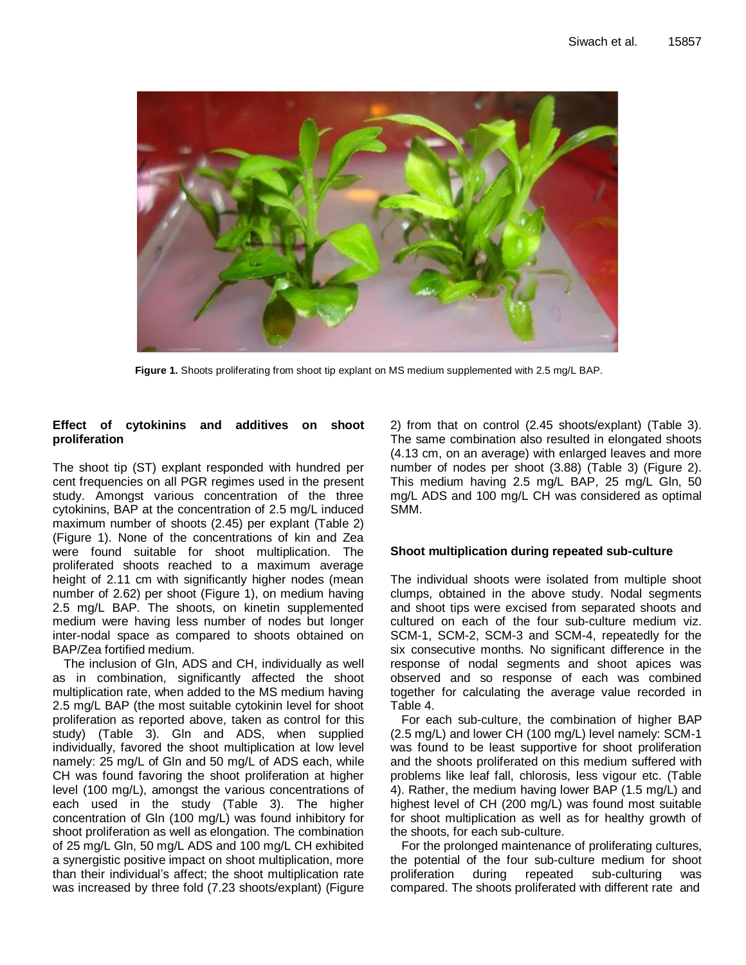

**Figure 1.** Shoots proliferating from shoot tip explant on MS medium supplemented with 2.5 mg/L BAP.

# **Effect of cytokinins and additives on shoot proliferation**

The shoot tip (ST) explant responded with hundred per cent frequencies on all PGR regimes used in the present study. Amongst various concentration of the three cytokinins, BAP at the concentration of 2.5 mg/L induced maximum number of shoots (2.45) per explant (Table 2) (Figure 1). None of the concentrations of kin and Zea were found suitable for shoot multiplication. The proliferated shoots reached to a maximum average height of 2.11 cm with significantly higher nodes (mean number of 2.62) per shoot (Figure 1), on medium having 2.5 mg/L BAP. The shoots, on kinetin supplemented medium were having less number of nodes but longer inter-nodal space as compared to shoots obtained on BAP/Zea fortified medium.

The inclusion of Gln, ADS and CH, individually as well as in combination, significantly affected the shoot multiplication rate, when added to the MS medium having 2.5 mg/L BAP (the most suitable cytokinin level for shoot proliferation as reported above, taken as control for this study) (Table 3). Gln and ADS, when supplied individually, favored the shoot multiplication at low level namely: 25 mg/L of Gln and 50 mg/L of ADS each, while CH was found favoring the shoot proliferation at higher level (100 mg/L), amongst the various concentrations of each used in the study (Table 3). The higher concentration of Gln (100 mg/L) was found inhibitory for shoot proliferation as well as elongation. The combination of 25 mg/L Gln, 50 mg/L ADS and 100 mg/L CH exhibited a synergistic positive impact on shoot multiplication, more than their individual's affect; the shoot multiplication rate was increased by three fold (7.23 shoots/explant) (Figure

2) from that on control (2.45 shoots/explant) (Table 3). The same combination also resulted in elongated shoots (4.13 cm, on an average) with enlarged leaves and more number of nodes per shoot (3.88) (Table 3) (Figure 2). This medium having 2.5 mg/L BAP, 25 mg/L Gln, 50 mg/L ADS and 100 mg/L CH was considered as optimal SMM.

# **Shoot multiplication during repeated sub-culture**

The individual shoots were isolated from multiple shoot clumps, obtained in the above study. Nodal segments and shoot tips were excised from separated shoots and cultured on each of the four sub-culture medium viz. SCM-1, SCM-2, SCM-3 and SCM-4, repeatedly for the six consecutive months. No significant difference in the response of nodal segments and shoot apices was observed and so response of each was combined together for calculating the average value recorded in Table 4.

For each sub-culture, the combination of higher BAP (2.5 mg/L) and lower CH (100 mg/L) level namely: SCM-1 was found to be least supportive for shoot proliferation and the shoots proliferated on this medium suffered with problems like leaf fall, chlorosis, less vigour etc. (Table 4). Rather, the medium having lower BAP (1.5 mg/L) and highest level of CH (200 mg/L) was found most suitable for shoot multiplication as well as for healthy growth of the shoots, for each sub-culture.

For the prolonged maintenance of proliferating cultures, the potential of the four sub-culture medium for shoot proliferation during repeated sub-culturing was compared. The shoots proliferated with different rate and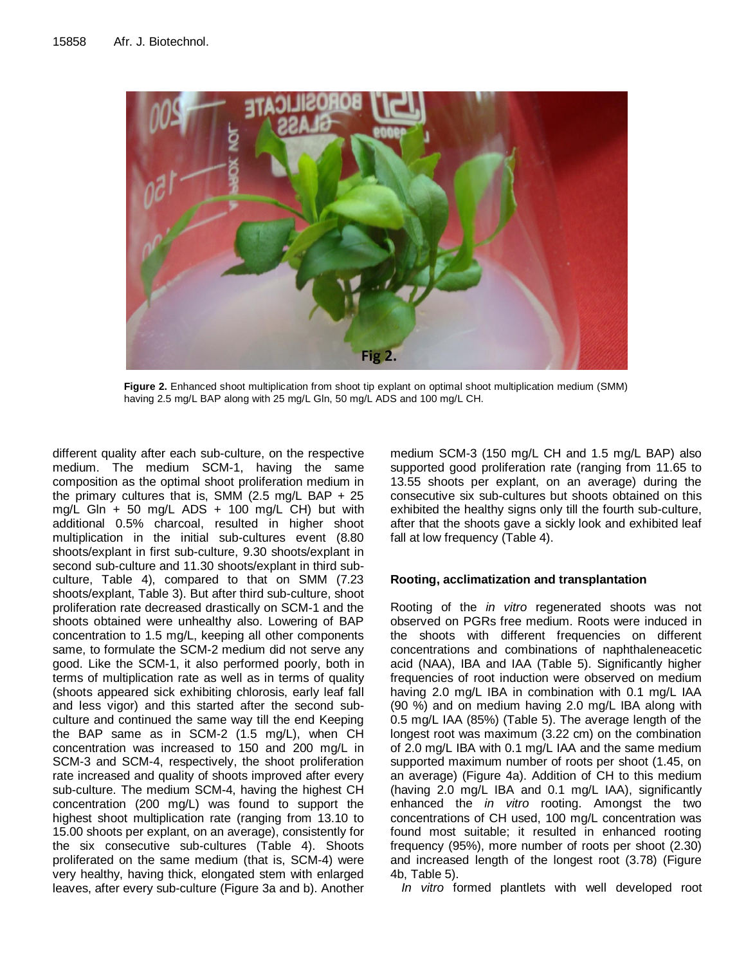

**Figure 2.** Enhanced shoot multiplication from shoot tip explant on optimal shoot multiplication medium (SMM) having 2.5 mg/L BAP along with 25 mg/L Gln, 50 mg/L ADS and 100 mg/L CH.

different quality after each sub-culture, on the respective medium. The medium SCM-1, having the same composition as the optimal shoot proliferation medium in the primary cultures that is, SMM (2.5 mg/L BAP  $+ 25$ mg/L Gln + 50 mg/L ADS + 100 mg/L CH) but with additional 0.5% charcoal, resulted in higher shoot multiplication in the initial sub-cultures event (8.80 shoots/explant in first sub-culture, 9.30 shoots/explant in second sub-culture and 11.30 shoots/explant in third subculture, Table 4), compared to that on SMM (7.23 shoots/explant, Table 3). But after third sub-culture, shoot proliferation rate decreased drastically on SCM-1 and the shoots obtained were unhealthy also. Lowering of BAP concentration to 1.5 mg/L, keeping all other components same, to formulate the SCM-2 medium did not serve any good. Like the SCM-1, it also performed poorly, both in terms of multiplication rate as well as in terms of quality (shoots appeared sick exhibiting chlorosis, early leaf fall and less vigor) and this started after the second subculture and continued the same way till the end Keeping the BAP same as in SCM-2 (1.5 mg/L), when CH concentration was increased to 150 and 200 mg/L in SCM-3 and SCM-4, respectively, the shoot proliferation rate increased and quality of shoots improved after every sub-culture. The medium SCM-4, having the highest CH concentration (200 mg/L) was found to support the highest shoot multiplication rate (ranging from 13.10 to 15.00 shoots per explant, on an average), consistently for the six consecutive sub-cultures (Table 4). Shoots proliferated on the same medium (that is, SCM-4) were very healthy, having thick, elongated stem with enlarged leaves, after every sub-culture (Figure 3a and b). Another

medium SCM-3 (150 mg/L CH and 1.5 mg/L BAP) also supported good proliferation rate (ranging from 11.65 to 13.55 shoots per explant, on an average) during the consecutive six sub-cultures but shoots obtained on this exhibited the healthy signs only till the fourth sub-culture, after that the shoots gave a sickly look and exhibited leaf fall at low frequency (Table 4).

# **Rooting, acclimatization and transplantation**

Rooting of the *in vitro* regenerated shoots was not observed on PGRs free medium. Roots were induced in the shoots with different frequencies on different concentrations and combinations of naphthaleneacetic acid (NAA), IBA and IAA (Table 5). Significantly higher frequencies of root induction were observed on medium having 2.0 mg/L IBA in combination with 0.1 mg/L IAA (90 %) and on medium having 2.0 mg/L IBA along with 0.5 mg/L IAA (85%) (Table 5). The average length of the longest root was maximum (3.22 cm) on the combination of 2.0 mg/L IBA with 0.1 mg/L IAA and the same medium supported maximum number of roots per shoot (1.45, on an average) (Figure 4a). Addition of CH to this medium (having 2.0 mg/L IBA and 0.1 mg/L IAA), significantly enhanced the *in vitro* rooting. Amongst the two concentrations of CH used, 100 mg/L concentration was found most suitable; it resulted in enhanced rooting frequency (95%), more number of roots per shoot (2.30) and increased length of the longest root (3.78) (Figure 4b, Table 5).

*In vitro* formed plantlets with well developed root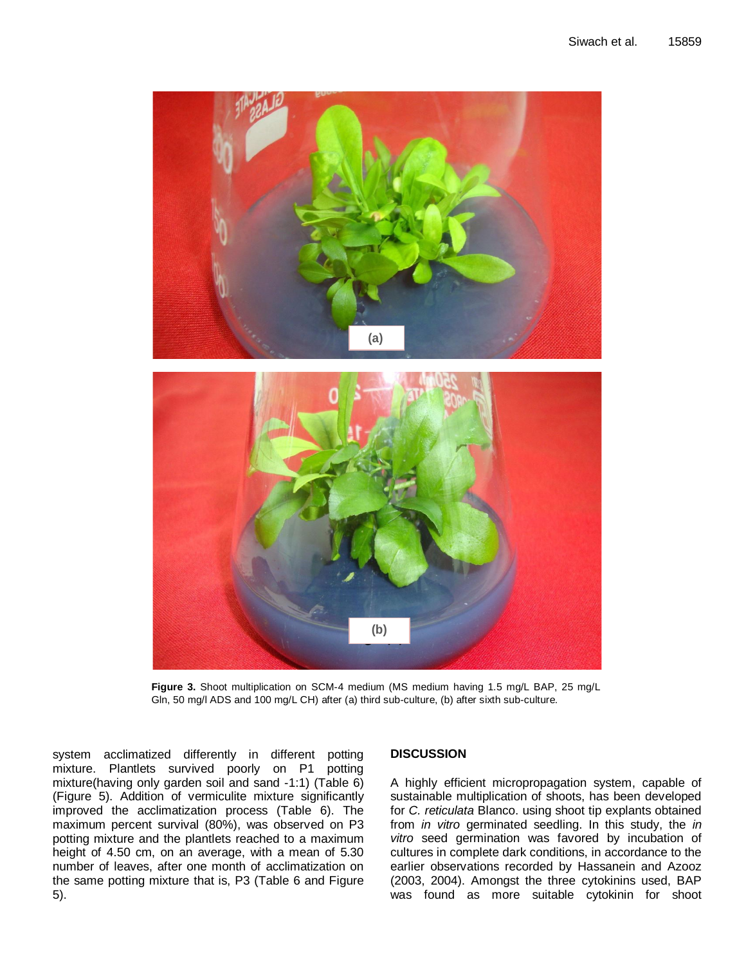

**Figure 3.** Shoot multiplication on SCM-4 medium (MS medium having 1.5 mg/L BAP, 25 mg/L Gln, 50 mg/l ADS and 100 mg/L CH) after (a) third sub-culture, (b) after sixth sub-culture.

system acclimatized differently in different potting mixture. Plantlets survived poorly on P1 potting mixture(having only garden soil and sand -1:1) (Table 6) (Figure 5). Addition of vermiculite mixture significantly improved the acclimatization process (Table 6). The maximum percent survival (80%), was observed on P3 potting mixture and the plantlets reached to a maximum height of 4.50 cm, on an average, with a mean of 5.30 number of leaves, after one month of acclimatization on the same potting mixture that is, P3 (Table 6 and Figure 5).

## **DISCUSSION**

A highly efficient micropropagation system, capable of sustainable multiplication of shoots, has been developed for *C. reticulata* Blanco. using shoot tip explants obtained from *in vitro* germinated seedling. In this study, the *in vitro* seed germination was favored by incubation of cultures in complete dark conditions, in accordance to the earlier observations recorded by Hassanein and Azooz (2003, 2004). Amongst the three cytokinins used, BAP was found as more suitable cytokinin for shoot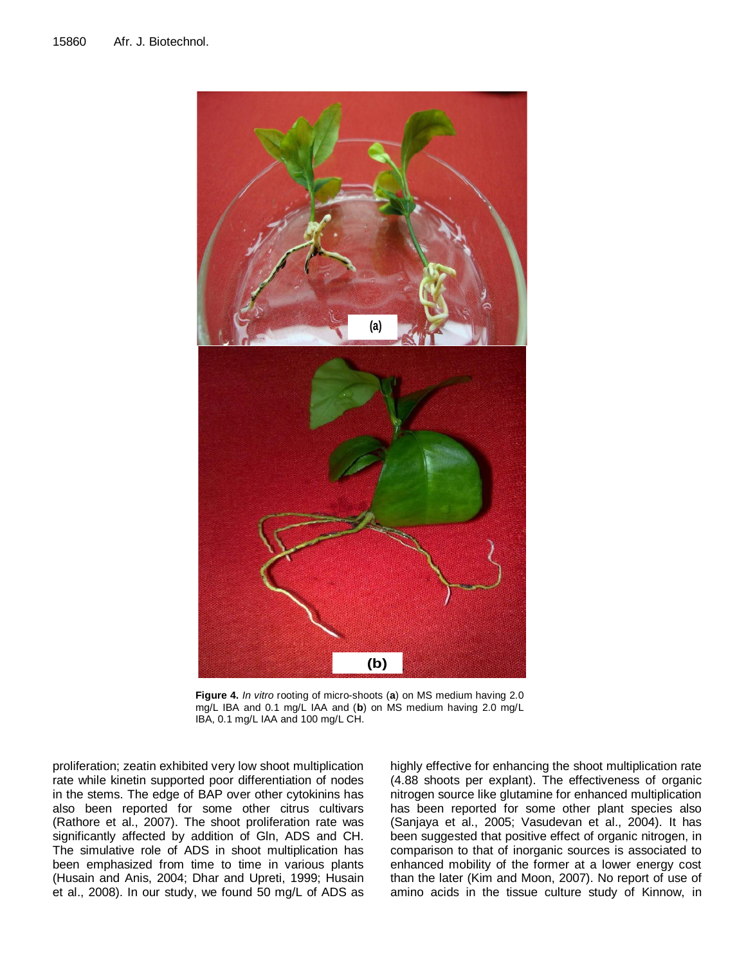

**Figure 4.** *In vitro* rooting of micro-shoots (**a**) on MS medium having 2.0 mg/L IBA and 0.1 mg/L IAA and (**b**) on MS medium having 2.0 mg/L IBA, 0.1 mg/L IAA and 100 mg/L CH.

proliferation; zeatin exhibited very low shoot multiplication rate while kinetin supported poor differentiation of nodes in the stems. The edge of BAP over other cytokinins has also been reported for some other citrus cultivars (Rathore et al., 2007). The shoot proliferation rate was significantly affected by addition of Gln, ADS and CH. The simulative role of ADS in shoot multiplication has been emphasized from time to time in various plants (Husain and Anis, 2004; Dhar and Upreti, 1999; Husain et al., 2008). In our study, we found 50 mg/L of ADS as highly effective for enhancing the shoot multiplication rate (4.88 shoots per explant). The effectiveness of organic nitrogen source like glutamine for enhanced multiplication has been reported for some other plant species also (Sanjaya et al., 2005; Vasudevan et al., 2004). It has been suggested that positive effect of organic nitrogen, in comparison to that of inorganic sources is associated to enhanced mobility of the former at a lower energy cost than the later (Kim and Moon, 2007). No report of use of amino acids in the tissue culture study of Kinnow, in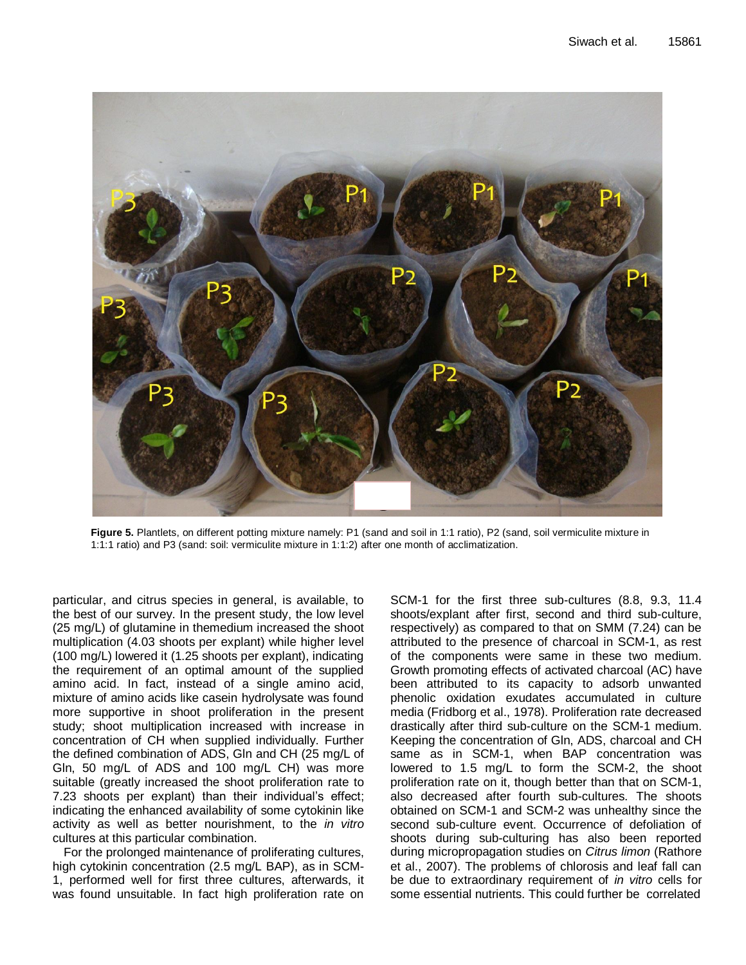

**Figure 5.** Plantlets, on different potting mixture namely: P1 (sand and soil in 1:1 ratio), P2 (sand, soil vermiculite mixture in 1:1:1 ratio) and P3 (sand: soil: vermiculite mixture in 1:1:2) after one month of acclimatization.

particular, and citrus species in general, is available, to the best of our survey. In the present study, the low level (25 mg/L) of glutamine in themedium increased the shoot multiplication (4.03 shoots per explant) while higher level (100 mg/L) lowered it (1.25 shoots per explant), indicating the requirement of an optimal amount of the supplied amino acid. In fact, instead of a single amino acid, mixture of amino acids like casein hydrolysate was found more supportive in shoot proliferation in the present study; shoot multiplication increased with increase in concentration of CH when supplied individually. Further the defined combination of ADS, Gln and CH (25 mg/L of Gln, 50 mg/L of ADS and 100 mg/L CH) was more suitable (greatly increased the shoot proliferation rate to 7.23 shoots per explant) than their individual's effect; indicating the enhanced availability of some cytokinin like activity as well as better nourishment, to the *in vitro*  cultures at this particular combination.

For the prolonged maintenance of proliferating cultures, high cytokinin concentration (2.5 mg/L BAP), as in SCM-1, performed well for first three cultures, afterwards, it was found unsuitable. In fact high proliferation rate on

SCM-1 for the first three sub-cultures (8.8, 9.3, 11.4 shoots/explant after first, second and third sub-culture, respectively) as compared to that on SMM (7.24) can be attributed to the presence of charcoal in SCM-1, as rest of the components were same in these two medium. Growth promoting effects of activated charcoal (AC) have been attributed to its capacity to adsorb unwanted phenolic oxidation exudates accumulated in culture media (Fridborg et al., 1978). Proliferation rate decreased drastically after third sub-culture on the SCM-1 medium. Keeping the concentration of Gln, ADS, charcoal and CH same as in SCM-1, when BAP concentration was lowered to 1.5 mg/L to form the SCM-2, the shoot proliferation rate on it, though better than that on SCM-1, also decreased after fourth sub-cultures. The shoots obtained on SCM-1 and SCM-2 was unhealthy since the second sub-culture event. Occurrence of defoliation of shoots during sub-culturing has also been reported during micropropagation studies on *Citrus limon* (Rathore et al., 2007). The problems of chlorosis and leaf fall can be due to extraordinary requirement of *in vitro* cells for some essential nutrients. This could further be correlated